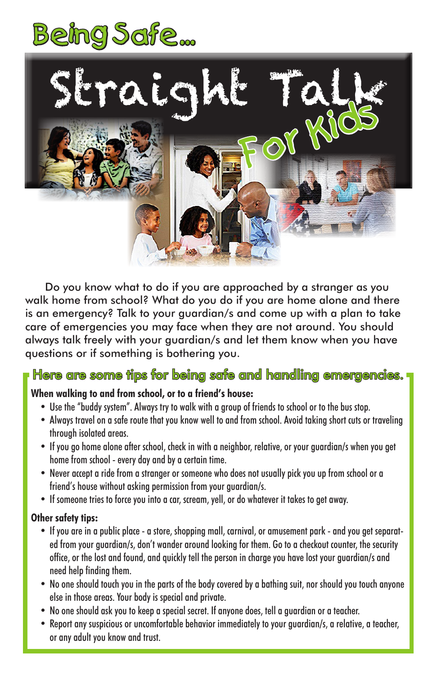



Do you know what to do if you are approached by a stranger as you walk home from school? What do you do if you are home alone and there is an emergency? Talk to your guardian/s and come up with a plan to take care of emergencies you may face when they are not around. You should always talk freely with your guardian/s and let them know when you have questions or if something is bothering you.

## Here are some tips for being safe and handling emergencies.

## **When walking to and from school, or to a friend's house:**

- Use the "buddy system". Always try to walk with a group of friends to school or to the bus stop.
- Always travel on a safe route that you know well to and from school. Avoid taking short cuts or traveling through isolated areas.
- If you go home alone after school, check in with a neighbor, relative, or your guardian/s when you get home from school - every day and by a certain time.
- Never accept a ride from a stranger or someone who does not usually pick you up from school or a friend's house without asking permission from your guardian/s.
- If someone tries to force you into a car, scream, yell, or do whatever it takes to get away.

## **Other safety tips:**

- If you are in a public place a store, shopping mall, carnival, or amusement park and you get separated from your guardian/s, don't wander around looking for them. Go to a checkout counter, the security office, or the lost and found, and quickly tell the person in charge you have lost your guardian/s and need help finding them.
- No one should touch you in the parts of the body covered by a bathing suit, nor should you touch anyone else in those areas. Your body is special and private.
- No one should ask you to keep a special secret. If anyone does, tell a guardian or a teacher.
- Report any suspicious or uncomfortable behavior immediately to your guardian/s, a relative, a teacher, or any adult you know and trust.